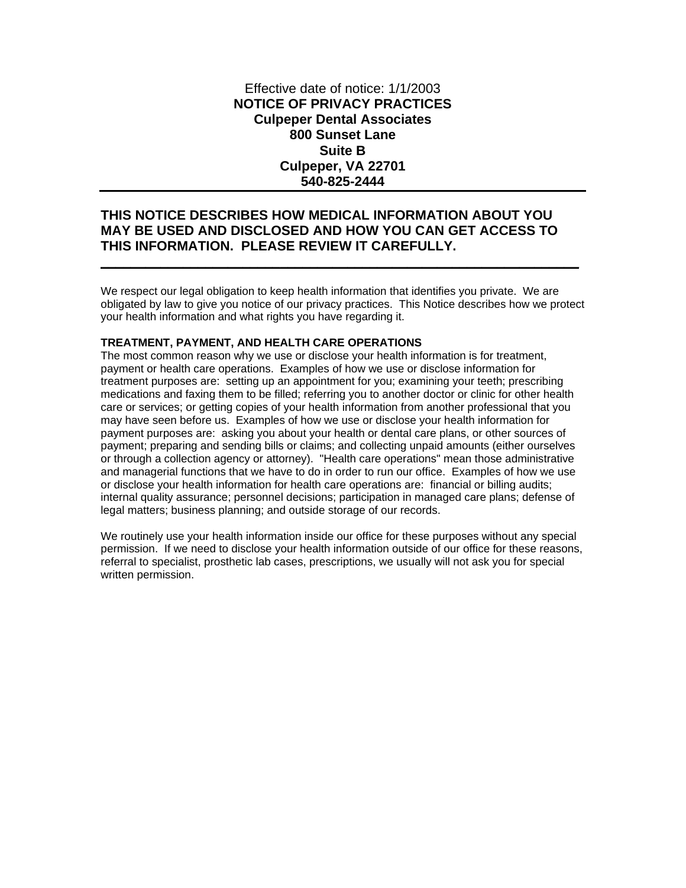## Effective date of notice: 1/1/2003 **NOTICE OF PRIVACY PRACTICES Culpeper Dental Associates 800 Sunset Lane Suite B Culpeper, VA 22701 540-825-2444**

# **THIS NOTICE DESCRIBES HOW MEDICAL INFORMATION ABOUT YOU MAY BE USED AND DISCLOSED AND HOW YOU CAN GET ACCESS TO THIS INFORMATION. PLEASE REVIEW IT CAREFULLY.**

We respect our legal obligation to keep health information that identifies you private. We are obligated by law to give you notice of our privacy practices. This Notice describes how we protect your health information and what rights you have regarding it.

**\_\_\_\_\_\_\_\_\_\_\_\_\_\_\_\_\_\_\_\_\_\_\_\_\_\_\_\_\_\_\_\_\_\_\_\_\_\_\_\_\_\_\_\_\_\_\_\_\_\_\_\_\_\_\_\_\_\_\_\_\_\_\_\_**

## **TREATMENT, PAYMENT, AND HEALTH CARE OPERATIONS**

The most common reason why we use or disclose your health information is for treatment, payment or health care operations. Examples of how we use or disclose information for treatment purposes are: setting up an appointment for you; examining your teeth; prescribing medications and faxing them to be filled; referring you to another doctor or clinic for other health care or services; or getting copies of your health information from another professional that you may have seen before us. Examples of how we use or disclose your health information for payment purposes are: asking you about your health or dental care plans, or other sources of payment; preparing and sending bills or claims; and collecting unpaid amounts (either ourselves or through a collection agency or attorney). "Health care operations" mean those administrative and managerial functions that we have to do in order to run our office. Examples of how we use or disclose your health information for health care operations are: financial or billing audits; internal quality assurance; personnel decisions; participation in managed care plans; defense of legal matters; business planning; and outside storage of our records.

We routinely use your health information inside our office for these purposes without any special permission. If we need to disclose your health information outside of our office for these reasons, referral to specialist, prosthetic lab cases, prescriptions, we usually will not ask you for special written permission.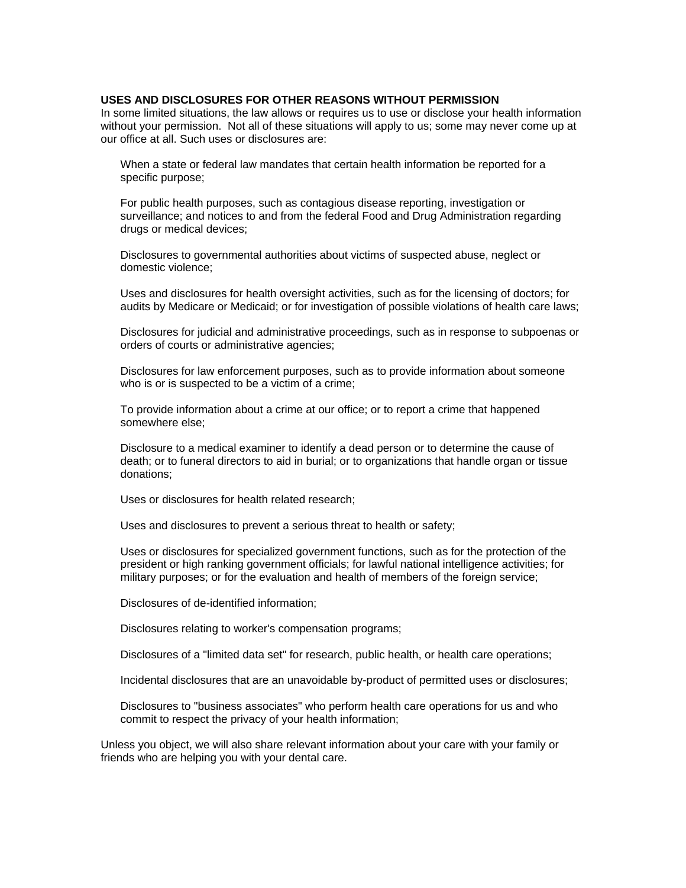## **USES AND DISCLOSURES FOR OTHER REASONS WITHOUT PERMISSION**

In some limited situations, the law allows or requires us to use or disclose your health information without your permission. Not all of these situations will apply to us; some may never come up at our office at all. Such uses or disclosures are:

When a state or federal law mandates that certain health information be reported for a specific purpose;

For public health purposes, such as contagious disease reporting, investigation or surveillance; and notices to and from the federal Food and Drug Administration regarding drugs or medical devices;

Disclosures to governmental authorities about victims of suspected abuse, neglect or domestic violence;

Uses and disclosures for health oversight activities, such as for the licensing of doctors; for audits by Medicare or Medicaid; or for investigation of possible violations of health care laws;

Disclosures for judicial and administrative proceedings, such as in response to subpoenas or orders of courts or administrative agencies;

Disclosures for law enforcement purposes, such as to provide information about someone who is or is suspected to be a victim of a crime;

To provide information about a crime at our office; or to report a crime that happened somewhere else;

Disclosure to a medical examiner to identify a dead person or to determine the cause of death; or to funeral directors to aid in burial; or to organizations that handle organ or tissue donations;

Uses or disclosures for health related research;

Uses and disclosures to prevent a serious threat to health or safety;

Uses or disclosures for specialized government functions, such as for the protection of the president or high ranking government officials; for lawful national intelligence activities; for military purposes; or for the evaluation and health of members of the foreign service;

Disclosures of de-identified information;

Disclosures relating to worker's compensation programs;

Disclosures of a "limited data set" for research, public health, or health care operations;

Incidental disclosures that are an unavoidable by-product of permitted uses or disclosures;

Disclosures to "business associates" who perform health care operations for us and who commit to respect the privacy of your health information;

Unless you object, we will also share relevant information about your care with your family or friends who are helping you with your dental care.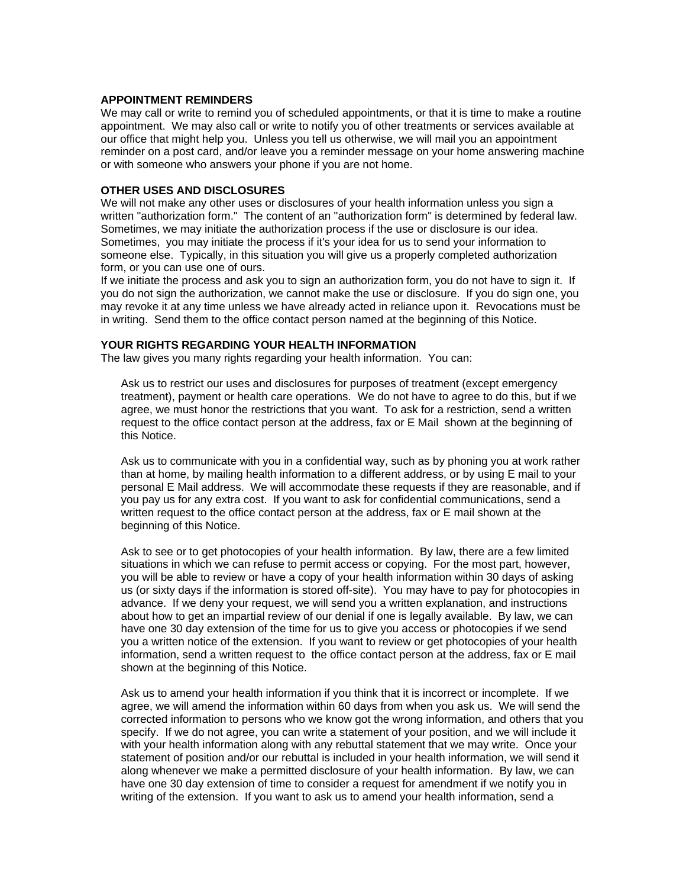## **APPOINTMENT REMINDERS**

We may call or write to remind you of scheduled appointments, or that it is time to make a routine appointment. We may also call or write to notify you of other treatments or services available at our office that might help you. Unless you tell us otherwise, we will mail you an appointment reminder on a post card, and/or leave you a reminder message on your home answering machine or with someone who answers your phone if you are not home.

#### **OTHER USES AND DISCLOSURES**

We will not make any other uses or disclosures of your health information unless you sign a written "authorization form." The content of an "authorization form" is determined by federal law. Sometimes, we may initiate the authorization process if the use or disclosure is our idea. Sometimes, you may initiate the process if it's your idea for us to send your information to someone else. Typically, in this situation you will give us a properly completed authorization form, or you can use one of ours.

If we initiate the process and ask you to sign an authorization form, you do not have to sign it. If you do not sign the authorization, we cannot make the use or disclosure. If you do sign one, you may revoke it at any time unless we have already acted in reliance upon it. Revocations must be in writing. Send them to the office contact person named at the beginning of this Notice.

## **YOUR RIGHTS REGARDING YOUR HEALTH INFORMATION**

The law gives you many rights regarding your health information. You can:

Ask us to restrict our uses and disclosures for purposes of treatment (except emergency treatment), payment or health care operations. We do not have to agree to do this, but if we agree, we must honor the restrictions that you want. To ask for a restriction, send a written request to the office contact person at the address, fax or E Mail shown at the beginning of this Notice.

Ask us to communicate with you in a confidential way, such as by phoning you at work rather than at home, by mailing health information to a different address, or by using E mail to your personal E Mail address. We will accommodate these requests if they are reasonable, and if you pay us for any extra cost. If you want to ask for confidential communications, send a written request to the office contact person at the address, fax or E mail shown at the beginning of this Notice.

Ask to see or to get photocopies of your health information. By law, there are a few limited situations in which we can refuse to permit access or copying. For the most part, however, you will be able to review or have a copy of your health information within 30 days of asking us (or sixty days if the information is stored off-site). You may have to pay for photocopies in advance. If we deny your request, we will send you a written explanation, and instructions about how to get an impartial review of our denial if one is legally available. By law, we can have one 30 day extension of the time for us to give you access or photocopies if we send you a written notice of the extension. If you want to review or get photocopies of your health information, send a written request to the office contact person at the address, fax or E mail shown at the beginning of this Notice.

Ask us to amend your health information if you think that it is incorrect or incomplete. If we agree, we will amend the information within 60 days from when you ask us. We will send the corrected information to persons who we know got the wrong information, and others that you specify. If we do not agree, you can write a statement of your position, and we will include it with your health information along with any rebuttal statement that we may write. Once your statement of position and/or our rebuttal is included in your health information, we will send it along whenever we make a permitted disclosure of your health information. By law, we can have one 30 day extension of time to consider a request for amendment if we notify you in writing of the extension. If you want to ask us to amend your health information, send a